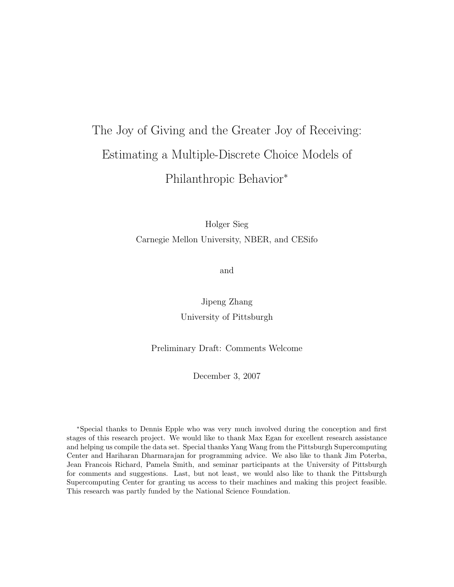# The Joy of Giving and the Greater Joy of Receiving: Estimating a Multiple-Discrete Choice Models of Philanthropic Behavior<sup>∗</sup>

Holger Sieg Carnegie Mellon University, NBER, and CESifo

and

Jipeng Zhang University of Pittsburgh

Preliminary Draft: Comments Welcome

December 3, 2007

<sup>∗</sup>Special thanks to Dennis Epple who was very much involved during the conception and first stages of this research project. We would like to thank Max Egan for excellent research assistance and helping us compile the data set. Special thanks Yang Wang from the Pittsburgh Supercomputing Center and Hariharan Dharmarajan for programming advice. We also like to thank Jim Poterba, Jean Francois Richard, Pamela Smith, and seminar participants at the University of Pittsburgh for comments and suggestions. Last, but not least, we would also like to thank the Pittsburgh Supercomputing Center for granting us access to their machines and making this project feasible. This research was partly funded by the National Science Foundation.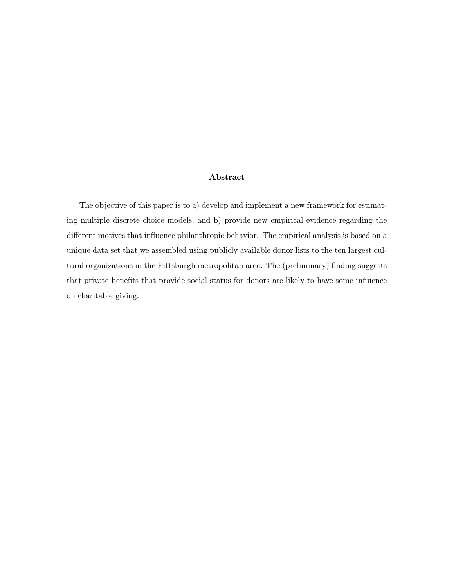## Abstract

The objective of this paper is to a) develop and implement a new framework for estimating multiple discrete choice models; and b) provide new empirical evidence regarding the different motives that influence philanthropic behavior. The empirical analysis is based on a unique data set that we assembled using publicly available donor lists to the ten largest cultural organizations in the Pittsburgh metropolitan area. The (preliminary) finding suggests that private benefits that provide social status for donors are likely to have some influence on charitable giving.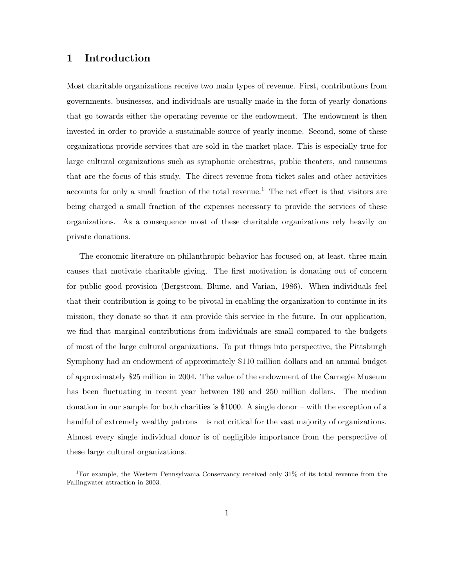# 1 Introduction

Most charitable organizations receive two main types of revenue. First, contributions from governments, businesses, and individuals are usually made in the form of yearly donations that go towards either the operating revenue or the endowment. The endowment is then invested in order to provide a sustainable source of yearly income. Second, some of these organizations provide services that are sold in the market place. This is especially true for large cultural organizations such as symphonic orchestras, public theaters, and museums that are the focus of this study. The direct revenue from ticket sales and other activities accounts for only a small fraction of the total revenue.<sup>1</sup> The net effect is that visitors are being charged a small fraction of the expenses necessary to provide the services of these organizations. As a consequence most of these charitable organizations rely heavily on private donations.

The economic literature on philanthropic behavior has focused on, at least, three main causes that motivate charitable giving. The first motivation is donating out of concern for public good provision (Bergstrom, Blume, and Varian, 1986). When individuals feel that their contribution is going to be pivotal in enabling the organization to continue in its mission, they donate so that it can provide this service in the future. In our application, we find that marginal contributions from individuals are small compared to the budgets of most of the large cultural organizations. To put things into perspective, the Pittsburgh Symphony had an endowment of approximately \$110 million dollars and an annual budget of approximately \$25 million in 2004. The value of the endowment of the Carnegie Museum has been fluctuating in recent year between 180 and 250 million dollars. The median donation in our sample for both charities is \$1000. A single donor – with the exception of a handful of extremely wealthy patrons – is not critical for the vast majority of organizations. Almost every single individual donor is of negligible importance from the perspective of these large cultural organizations.

<sup>&</sup>lt;sup>1</sup>For example, the Western Pennsylvania Conservancy received only  $31\%$  of its total revenue from the Fallingwater attraction in 2003.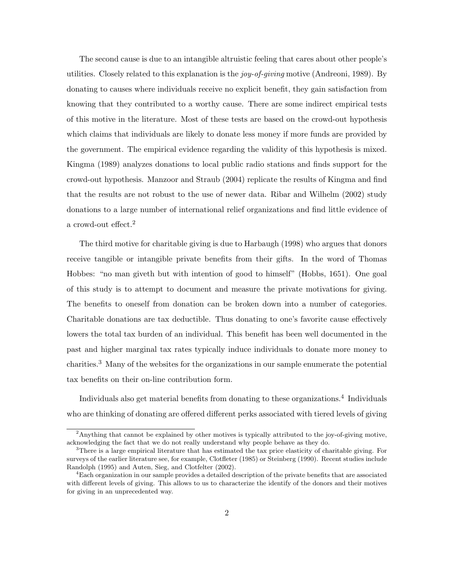The second cause is due to an intangible altruistic feeling that cares about other people's utilities. Closely related to this explanation is the joy-of-giving motive (Andreoni, 1989). By donating to causes where individuals receive no explicit benefit, they gain satisfaction from knowing that they contributed to a worthy cause. There are some indirect empirical tests of this motive in the literature. Most of these tests are based on the crowd-out hypothesis which claims that individuals are likely to donate less money if more funds are provided by the government. The empirical evidence regarding the validity of this hypothesis is mixed. Kingma (1989) analyzes donations to local public radio stations and finds support for the crowd-out hypothesis. Manzoor and Straub (2004) replicate the results of Kingma and find that the results are not robust to the use of newer data. Ribar and Wilhelm (2002) study donations to a large number of international relief organizations and find little evidence of a crowd-out effect.<sup>2</sup>

The third motive for charitable giving is due to Harbaugh (1998) who argues that donors receive tangible or intangible private benefits from their gifts. In the word of Thomas Hobbes: "no man giveth but with intention of good to himself" (Hobbs, 1651). One goal of this study is to attempt to document and measure the private motivations for giving. The benefits to oneself from donation can be broken down into a number of categories. Charitable donations are tax deductible. Thus donating to one's favorite cause effectively lowers the total tax burden of an individual. This benefit has been well documented in the past and higher marginal tax rates typically induce individuals to donate more money to charities.<sup>3</sup> Many of the websites for the organizations in our sample enumerate the potential tax benefits on their on-line contribution form.

Individuals also get material benefits from donating to these organizations.<sup>4</sup> Individuals who are thinking of donating are offered different perks associated with tiered levels of giving

<sup>&</sup>lt;sup>2</sup>Anything that cannot be explained by other motives is typically attributed to the joy-of-giving motive, acknowledging the fact that we do not really understand why people behave as they do.

 ${}^{3}$ There is a large empirical literature that has estimated the tax price elasticity of charitable giving. For surveys of the earlier literature see, for example, Clotfleter (1985) or Steinberg (1990). Recent studies include Randolph (1995) and Auten, Sieg, and Clotfelter (2002).

<sup>&</sup>lt;sup>4</sup>Each organization in our sample provides a detailed description of the private benefits that are associated with different levels of giving. This allows to us to characterize the identify of the donors and their motives for giving in an unprecedented way.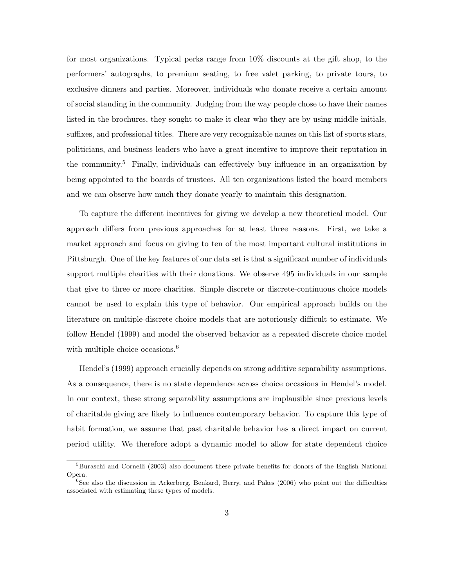for most organizations. Typical perks range from 10% discounts at the gift shop, to the performers' autographs, to premium seating, to free valet parking, to private tours, to exclusive dinners and parties. Moreover, individuals who donate receive a certain amount of social standing in the community. Judging from the way people chose to have their names listed in the brochures, they sought to make it clear who they are by using middle initials, suffixes, and professional titles. There are very recognizable names on this list of sports stars, politicians, and business leaders who have a great incentive to improve their reputation in the community.<sup>5</sup> Finally, individuals can effectively buy influence in an organization by being appointed to the boards of trustees. All ten organizations listed the board members and we can observe how much they donate yearly to maintain this designation.

To capture the different incentives for giving we develop a new theoretical model. Our approach differs from previous approaches for at least three reasons. First, we take a market approach and focus on giving to ten of the most important cultural institutions in Pittsburgh. One of the key features of our data set is that a significant number of individuals support multiple charities with their donations. We observe 495 individuals in our sample that give to three or more charities. Simple discrete or discrete-continuous choice models cannot be used to explain this type of behavior. Our empirical approach builds on the literature on multiple-discrete choice models that are notoriously difficult to estimate. We follow Hendel (1999) and model the observed behavior as a repeated discrete choice model with multiple choice occasions.<sup>6</sup>

Hendel's (1999) approach crucially depends on strong additive separability assumptions. As a consequence, there is no state dependence across choice occasions in Hendel's model. In our context, these strong separability assumptions are implausible since previous levels of charitable giving are likely to influence contemporary behavior. To capture this type of habit formation, we assume that past charitable behavior has a direct impact on current period utility. We therefore adopt a dynamic model to allow for state dependent choice

 ${}^{5}$ Buraschi and Cornelli (2003) also document these private benefits for donors of the English National Opera.

 $6$ See also the discussion in Ackerberg, Benkard, Berry, and Pakes (2006) who point out the difficulties associated with estimating these types of models.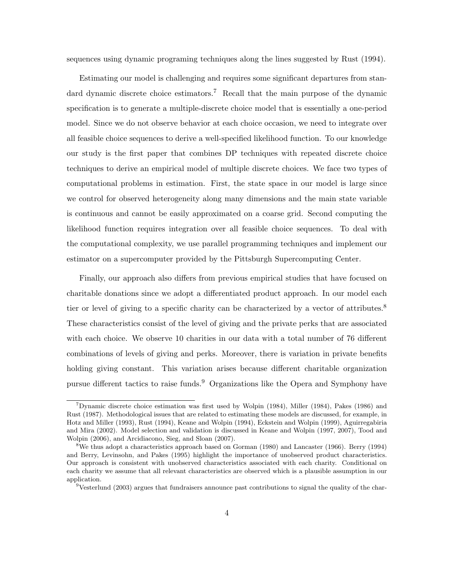sequences using dynamic programing techniques along the lines suggested by Rust (1994).

Estimating our model is challenging and requires some significant departures from standard dynamic discrete choice estimators.<sup>7</sup> Recall that the main purpose of the dynamic specification is to generate a multiple-discrete choice model that is essentially a one-period model. Since we do not observe behavior at each choice occasion, we need to integrate over all feasible choice sequences to derive a well-specified likelihood function. To our knowledge our study is the first paper that combines DP techniques with repeated discrete choice techniques to derive an empirical model of multiple discrete choices. We face two types of computational problems in estimation. First, the state space in our model is large since we control for observed heterogeneity along many dimensions and the main state variable is continuous and cannot be easily approximated on a coarse grid. Second computing the likelihood function requires integration over all feasible choice sequences. To deal with the computational complexity, we use parallel programming techniques and implement our estimator on a supercomputer provided by the Pittsburgh Supercomputing Center.

Finally, our approach also differs from previous empirical studies that have focused on charitable donations since we adopt a differentiated product approach. In our model each tier or level of giving to a specific charity can be characterized by a vector of attributes.<sup>8</sup> These characteristics consist of the level of giving and the private perks that are associated with each choice. We observe 10 charities in our data with a total number of 76 different combinations of levels of giving and perks. Moreover, there is variation in private benefits holding giving constant. This variation arises because different charitable organization pursue different tactics to raise funds.<sup>9</sup> Organizations like the Opera and Symphony have

<sup>&</sup>lt;sup>7</sup>Dynamic discrete choice estimation was first used by Wolpin (1984), Miller (1984), Pakes (1986) and Rust (1987). Methodological issues that are related to estimating these models are discussed, for example, in Hotz and Miller (1993), Rust (1994), Keane and Wolpin (1994), Eckstein and Wolpin (1999), Aguirregabiria and Mira (2002). Model selection and validation is discussed in Keane and Wolpin (1997, 2007), Tood and Wolpin (2006), and Arcidiacono, Sieg, and Sloan (2007).

<sup>&</sup>lt;sup>8</sup>We thus adopt a characteristics approach based on Gorman (1980) and Lancaster (1966). Berry (1994) and Berry, Levinsohn, and Pakes (1995) highlight the importance of unobserved product characteristics. Our approach is consistent with unobserved characteristics associated with each charity. Conditional on each charity we assume that all relevant characteristics are observed which is a plausible assumption in our application.

<sup>&</sup>lt;sup>9</sup>Vesterlund (2003) argues that fundraisers announce past contributions to signal the quality of the char-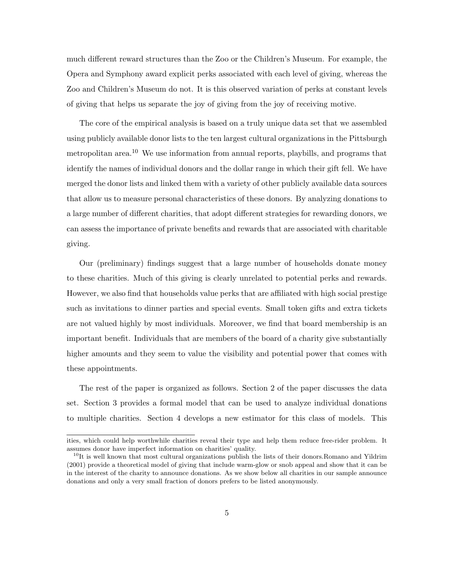much different reward structures than the Zoo or the Children's Museum. For example, the Opera and Symphony award explicit perks associated with each level of giving, whereas the Zoo and Children's Museum do not. It is this observed variation of perks at constant levels of giving that helps us separate the joy of giving from the joy of receiving motive.

The core of the empirical analysis is based on a truly unique data set that we assembled using publicly available donor lists to the ten largest cultural organizations in the Pittsburgh metropolitan area.<sup>10</sup> We use information from annual reports, playbills, and programs that identify the names of individual donors and the dollar range in which their gift fell. We have merged the donor lists and linked them with a variety of other publicly available data sources that allow us to measure personal characteristics of these donors. By analyzing donations to a large number of different charities, that adopt different strategies for rewarding donors, we can assess the importance of private benefits and rewards that are associated with charitable giving.

Our (preliminary) findings suggest that a large number of households donate money to these charities. Much of this giving is clearly unrelated to potential perks and rewards. However, we also find that households value perks that are affiliated with high social prestige such as invitations to dinner parties and special events. Small token gifts and extra tickets are not valued highly by most individuals. Moreover, we find that board membership is an important benefit. Individuals that are members of the board of a charity give substantially higher amounts and they seem to value the visibility and potential power that comes with these appointments.

The rest of the paper is organized as follows. Section 2 of the paper discusses the data set. Section 3 provides a formal model that can be used to analyze individual donations to multiple charities. Section 4 develops a new estimator for this class of models. This

ities, which could help worthwhile charities reveal their type and help them reduce free-rider problem. It assumes donor have imperfect information on charities' quality.

 $10$ It is well known that most cultural organizations publish the lists of their donors. Romano and Yildrim (2001) provide a theoretical model of giving that include warm-glow or snob appeal and show that it can be in the interest of the charity to announce donations. As we show below all charities in our sample announce donations and only a very small fraction of donors prefers to be listed anonymously.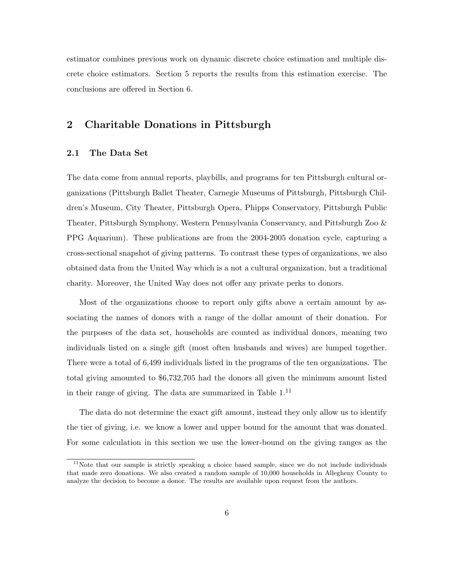estimator combines previous work on dynamic discrete choice estimation and multiple discrete choice estimators. Section 5 reports the results from this estimation exercise. The conclusions are offered in Section 6.

## 2 Charitable Donations in Pittsburgh

#### 2.1 The Data Set

The data come from annual reports, playbills, and programs for ten Pittsburgh cultural organizations (Pittsburgh Ballet Theater, Carnegie Museums of Pittsburgh, Pittsburgh Children's Museum, City Theater, Pittsburgh Opera, Phipps Conservatory, Pittsburgh Public Theater, Pittsburgh Symphony, Western Pennsylvania Conservancy, and Pittsburgh Zoo & PPG Aquarium). These publications are from the 2004-2005 donation cycle, capturing a cross-sectional snapshot of giving patterns. To contrast these types of organizations, we also obtained data from the United Way which is a not a cultural organization, but a traditional charity. Moreover, the United Way does not offer any private perks to donors.

Most of the organizations choose to report only gifts above a certain amount by associating the names of donors with a range of the dollar amount of their donation. For the purposes of the data set, households are counted as individual donors, meaning two individuals listed on a single gift (most often husbands and wives) are lumped together. There were a total of 6,499 individuals listed in the programs of the ten organizations. The total giving amounted to \$6,732,705 had the donors all given the minimum amount listed in their range of giving. The data are summarized in Table  $1<sup>11</sup>$ 

The data do not determine the exact gift amount, instead they only allow us to identify the tier of giving, i.e. we know a lower and upper bound for the amount that was donated. For some calculation in this section we use the lower-bound on the giving ranges as the

<sup>&</sup>lt;sup>11</sup>Note that our sample is strictly speaking a choice based sample, since we do not include individuals that made zero donations. We also created a random sample of 10,000 households in Allegheny County to analyze the decision to become a donor. The results are available upon request from the authors.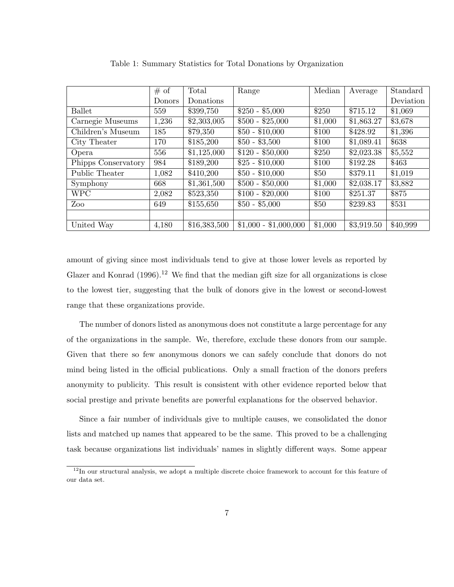|                     | # of          | Total        | Range                 | Median  | Average    | Standard  |
|---------------------|---------------|--------------|-----------------------|---------|------------|-----------|
|                     | <b>Donors</b> | Donations    |                       |         |            | Deviation |
| Ballet              | 559           | \$399,750    | $$250 - $5,000$       | \$250   | \$715.12   | \$1,069   |
| Carnegie Museums    | 1,236         | \$2,303,005  | $$500 - $25,000$      | \$1,000 | \$1,863.27 | \$3,678   |
| Children's Museum   | 185           | \$79,350     | $$50 - $10,000$       | \$100   | \$428.92   | \$1,396   |
| City Theater        | 170           | \$185,200    | $$50 - $3,500$        | \$100   | \$1,089.41 | \$638     |
| Opera               | 556           | \$1,125,000  | $$120 - $50,000$      | \$250   | \$2,023.38 | \$5,552   |
| Phipps Conservatory | 984           | \$189,200    | $$25 - $10,000$       | \$100   | \$192.28   | \$463     |
| Public Theater      | 1,082         | \$410,200    | $$50 - $10,000$       | \$50    | \$379.11   | \$1,019   |
| Symphony            | 668           | \$1,361,500  | $$500 - $50,000$      | \$1,000 | \$2,038.17 | \$3,882   |
| <b>WPC</b>          | 2,082         | \$523,350    | $$100 - $20,000$      | \$100   | \$251.37   | \$875     |
| Zoo                 | 649           | \$155,650    | $$50 - $5,000$        | \$50    | \$239.83   | \$531     |
|                     |               |              |                       |         |            |           |
| United Way          | 4,180         | \$16,383,500 | $$1,000 - $1,000,000$ | \$1,000 | \$3,919.50 | \$40,999  |

Table 1: Summary Statistics for Total Donations by Organization

amount of giving since most individuals tend to give at those lower levels as reported by Glazer and Konrad  $(1996).^{12}$  We find that the median gift size for all organizations is close to the lowest tier, suggesting that the bulk of donors give in the lowest or second-lowest range that these organizations provide.

The number of donors listed as anonymous does not constitute a large percentage for any of the organizations in the sample. We, therefore, exclude these donors from our sample. Given that there so few anonymous donors we can safely conclude that donors do not mind being listed in the official publications. Only a small fraction of the donors prefers anonymity to publicity. This result is consistent with other evidence reported below that social prestige and private benefits are powerful explanations for the observed behavior.

Since a fair number of individuals give to multiple causes, we consolidated the donor lists and matched up names that appeared to be the same. This proved to be a challenging task because organizations list individuals' names in slightly different ways. Some appear

 $12$ In our structural analysis, we adopt a multiple discrete choice framework to account for this feature of our data set.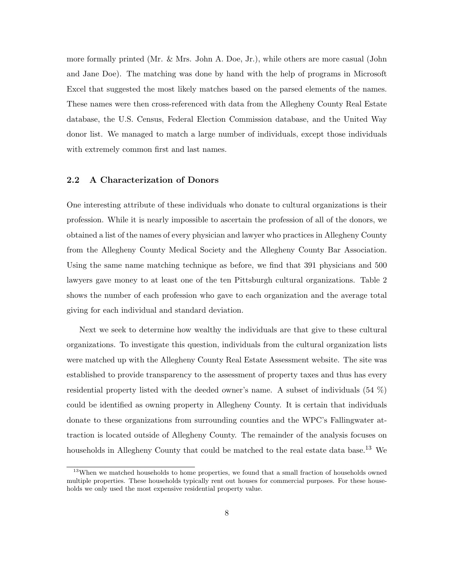more formally printed (Mr. & Mrs. John A. Doe, Jr.), while others are more casual (John and Jane Doe). The matching was done by hand with the help of programs in Microsoft Excel that suggested the most likely matches based on the parsed elements of the names. These names were then cross-referenced with data from the Allegheny County Real Estate database, the U.S. Census, Federal Election Commission database, and the United Way donor list. We managed to match a large number of individuals, except those individuals with extremely common first and last names.

#### 2.2 A Characterization of Donors

One interesting attribute of these individuals who donate to cultural organizations is their profession. While it is nearly impossible to ascertain the profession of all of the donors, we obtained a list of the names of every physician and lawyer who practices in Allegheny County from the Allegheny County Medical Society and the Allegheny County Bar Association. Using the same name matching technique as before, we find that 391 physicians and 500 lawyers gave money to at least one of the ten Pittsburgh cultural organizations. Table 2 shows the number of each profession who gave to each organization and the average total giving for each individual and standard deviation.

Next we seek to determine how wealthy the individuals are that give to these cultural organizations. To investigate this question, individuals from the cultural organization lists were matched up with the Allegheny County Real Estate Assessment website. The site was established to provide transparency to the assessment of property taxes and thus has every residential property listed with the deeded owner's name. A subset of individuals (54 %) could be identified as owning property in Allegheny County. It is certain that individuals donate to these organizations from surrounding counties and the WPC's Fallingwater attraction is located outside of Allegheny County. The remainder of the analysis focuses on households in Allegheny County that could be matched to the real estate data base.<sup>13</sup> We

<sup>&</sup>lt;sup>13</sup>When we matched households to home properties, we found that a small fraction of households owned multiple properties. These households typically rent out houses for commercial purposes. For these households we only used the most expensive residential property value.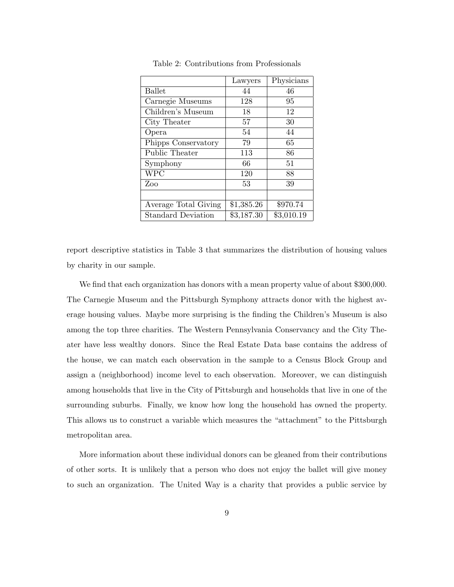|                           | Lawyers    | Physicians |
|---------------------------|------------|------------|
| <b>Ballet</b>             | 44         | 46         |
| Carnegie Museums          | 128        | 95         |
| Children's Museum         | 18         | 12         |
| City Theater              | 57         | 30         |
| Opera                     | 54         | 44         |
| Phipps Conservatory       | 79         | 65         |
| Public Theater            | 113        | 86         |
| Symphony                  | 66         | 51         |
| <b>WPC</b>                | 120        | 88         |
| Zoo                       | 53         | 39         |
|                           |            |            |
| Average Total Giving      | \$1,385.26 | \$970.74   |
| <b>Standard Deviation</b> | \$3,187.30 | \$3,010.19 |

Table 2: Contributions from Professionals

report descriptive statistics in Table 3 that summarizes the distribution of housing values by charity in our sample.

We find that each organization has donors with a mean property value of about \$300,000. The Carnegie Museum and the Pittsburgh Symphony attracts donor with the highest average housing values. Maybe more surprising is the finding the Children's Museum is also among the top three charities. The Western Pennsylvania Conservancy and the City Theater have less wealthy donors. Since the Real Estate Data base contains the address of the house, we can match each observation in the sample to a Census Block Group and assign a (neighborhood) income level to each observation. Moreover, we can distinguish among households that live in the City of Pittsburgh and households that live in one of the surrounding suburbs. Finally, we know how long the household has owned the property. This allows us to construct a variable which measures the "attachment" to the Pittsburgh metropolitan area.

More information about these individual donors can be gleaned from their contributions of other sorts. It is unlikely that a person who does not enjoy the ballet will give money to such an organization. The United Way is a charity that provides a public service by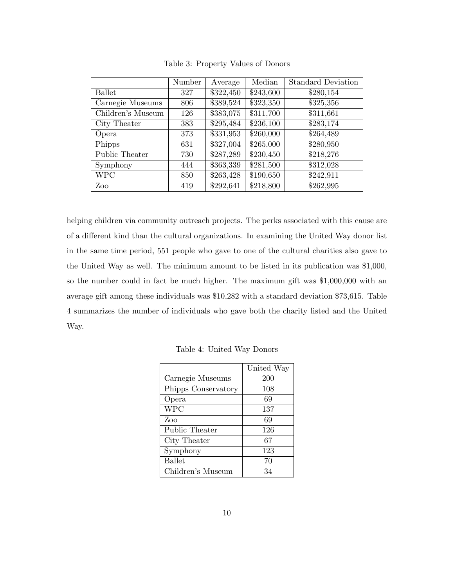|                   | Number | Average   | Median    | <b>Standard Deviation</b> |
|-------------------|--------|-----------|-----------|---------------------------|
| <b>Ballet</b>     | 327    | \$322,450 | \$243,600 | \$280,154                 |
| Carnegie Museums  | 806    | \$389,524 | \$323,350 | \$325,356                 |
| Children's Museum | 126    | \$383,075 | \$311,700 | \$311,661                 |
| City Theater      | 383    | \$295,484 | \$236,100 | \$283,174                 |
| Opera             | 373    | \$331,953 | \$260,000 | \$264,489                 |
| Phipps            | 631    | \$327,004 | \$265,000 | \$280,950                 |
| Public Theater    | 730    | \$287,289 | \$230,450 | \$218,276                 |
| Symphony          | 444    | \$363,339 | \$281,500 | \$312,028                 |
| <b>WPC</b>        | 850    | \$263,428 | \$190,650 | \$242,911                 |
| Zoo               | 419    | \$292,641 | \$218,800 | \$262,995                 |

Table 3: Property Values of Donors

helping children via community outreach projects. The perks associated with this cause are of a different kind than the cultural organizations. In examining the United Way donor list in the same time period, 551 people who gave to one of the cultural charities also gave to the United Way as well. The minimum amount to be listed in its publication was \$1,000, so the number could in fact be much higher. The maximum gift was \$1,000,000 with an average gift among these individuals was \$10,282 with a standard deviation \$73,615. Table 4 summarizes the number of individuals who gave both the charity listed and the United Way.

|                     | United Way |
|---------------------|------------|
| Carnegie Museums    | 200        |
| Phipps Conservatory | 108        |
| Opera               | 69         |
| <b>WPC</b>          | 137        |
| Zoo                 | 69         |
| Public Theater      | 126        |
| City Theater        | 67         |
| Symphony            | 123        |
| <b>Ballet</b>       | 70         |
| Children's Museum   | 34         |

Table 4: United Way Donors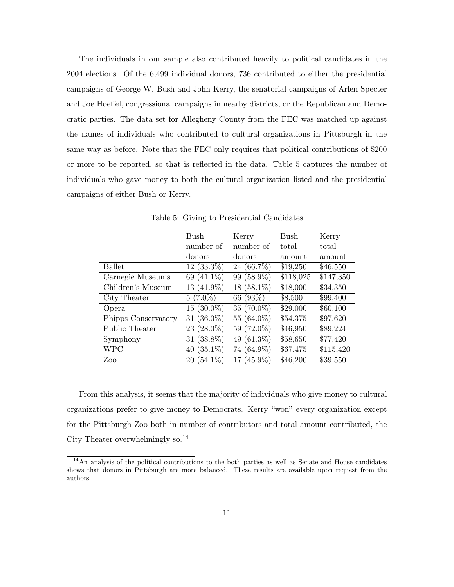The individuals in our sample also contributed heavily to political candidates in the 2004 elections. Of the 6,499 individual donors, 736 contributed to either the presidential campaigns of George W. Bush and John Kerry, the senatorial campaigns of Arlen Specter and Joe Hoeffel, congressional campaigns in nearby districts, or the Republican and Democratic parties. The data set for Allegheny County from the FEC was matched up against the names of individuals who contributed to cultural organizations in Pittsburgh in the same way as before. Note that the FEC only requires that political contributions of \$200 or more to be reported, so that is reflected in the data. Table 5 captures the number of individuals who gave money to both the cultural organization listed and the presidential campaigns of either Bush or Kerry.

|                     | Bush             | Kerry         | Bush                  | Kerry                 |
|---------------------|------------------|---------------|-----------------------|-----------------------|
|                     | number of        | number of     | total                 | total                 |
|                     | donors           | donors        | amount                | amount                |
| <b>Ballet</b>       | $12(33.3\%)$     | 24 $(66.7\%)$ | \$19,250              | \$46,550              |
| Carnegie Museums    | 69 $(41.1\%)$    | 99 (58.9%)    | $\overline{$118,025}$ | $\overline{$}147,350$ |
| Children's Museum   | $13(41.9\%)$     | $18(58.1\%)$  | \$18,000              | \$34,350              |
| City Theater        | $5(7.0\%)$       | 66 (93%)      | \$8,500               | \$99,400              |
| Opera               | $15(30.0\%)$     | 35 $(70.0\%)$ | \$29,000              | \$60,100              |
| Phipps Conservatory | 31 $(36.0\%)$    | 55 $(64.0\%)$ | \$54,375              | \$97,620              |
| Public Theater      | $(28.0\%)$<br>23 | 59 (72.0%)    | \$46,950              | \$89,224              |
| Symphony            | 31 $(38.8\%)$    | 49 $(61.3\%)$ | \$58,650              | \$77,420              |
| <b>WPC</b>          | 40 $(35.1\%)$    | 74 (64.9%)    | \$67,475              | \$115,420             |
| Zoo                 | $20(54.1\%)$     | 17 $(45.9\%)$ | \$46,200              | \$39,550              |

Table 5: Giving to Presidential Candidates

From this analysis, it seems that the majority of individuals who give money to cultural organizations prefer to give money to Democrats. Kerry "won" every organization except for the Pittsburgh Zoo both in number of contributors and total amount contributed, the City Theater overwhelmingly so.<sup>14</sup>

<sup>14</sup>An analysis of the political contributions to the both parties as well as Senate and House candidates shows that donors in Pittsburgh are more balanced. These results are available upon request from the authors.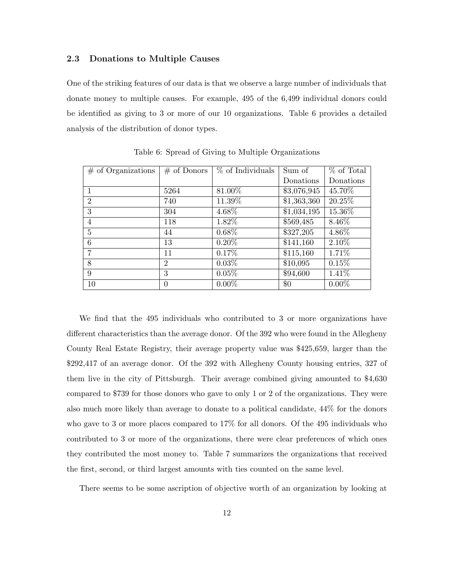#### 2.3 Donations to Multiple Causes

One of the striking features of our data is that we observe a large number of individuals that donate money to multiple causes. For example, 495 of the 6,499 individual donors could be identified as giving to 3 or more of our 10 organizations. Table 6 provides a detailed analysis of the distribution of donor types.

| $\#$ of Organizations | $#$ of Donors  | % of Individuals | Sum of      | % of Total |
|-----------------------|----------------|------------------|-------------|------------|
|                       |                |                  | Donations   | Donations  |
| $\mathbf{1}$          | 5264           | 81.00%           | \$3,076,945 | 45.70%     |
| $\overline{2}$        | 740            | 11.39%           | \$1,363,360 | 20.25%     |
| 3                     | 304            | 4.68%            | \$1,034,195 | 15.36%     |
| $\overline{4}$        | 118            | 1.82%            | \$569,485   | 8.46%      |
| $\overline{5}$        | 44             | $0.68\%$         | \$327,205   | 4.86%      |
| 6                     | 13             | $0.20\%$         | \$141,160   | 2.10%      |
| 7                     | 11             | $0.17\%$         | \$115,160   | 1.71%      |
| 8                     | $\overline{2}$ | $0.03\%$         | \$10,095    | 0.15%      |
| 9                     | 3              | 0.05%            | \$94,600    | 1.41\%     |
| 10                    | $\Omega$       | $0.00\%$         | \$0         | $0.00\%$   |

Table 6: Spread of Giving to Multiple Organizations

We find that the 495 individuals who contributed to 3 or more organizations have different characteristics than the average donor. Of the 392 who were found in the Allegheny County Real Estate Registry, their average property value was \$425,659, larger than the \$292,417 of an average donor. Of the 392 with Allegheny County housing entries, 327 of them live in the city of Pittsburgh. Their average combined giving amounted to \$4,630 compared to \$739 for those donors who gave to only 1 or 2 of the organizations. They were also much more likely than average to donate to a political candidate, 44% for the donors who gave to 3 or more places compared to 17% for all donors. Of the 495 individuals who contributed to 3 or more of the organizations, there were clear preferences of which ones they contributed the most money to. Table 7 summarizes the organizations that received the first, second, or third largest amounts with ties counted on the same level.

There seems to be some ascription of objective worth of an organization by looking at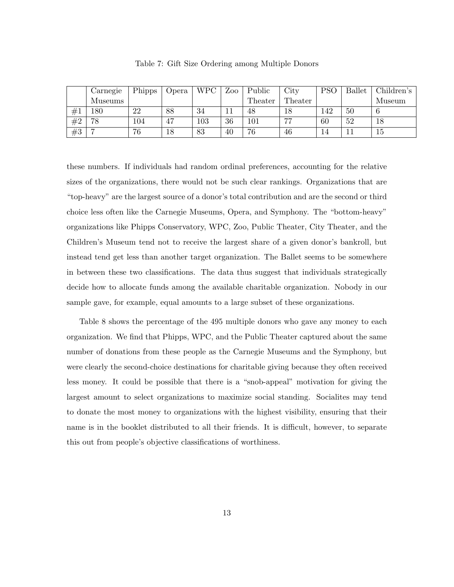|    | Carnegie | Phipps | Opera | <b>WPC</b> | Zoo | Public  | City           | PSC | <b>Ballet</b> | Children's |
|----|----------|--------|-------|------------|-----|---------|----------------|-----|---------------|------------|
|    | Museums  |        |       |            |     | Theater | Theater        |     |               | Museum     |
| #1 | $180\,$  | 22     | 88    | 34         |     | 48      | 18             | 142 | 50            |            |
| #2 | 78       | 104    | 47    | 103        | 36  | 101     | $\overline{ }$ | 60  | 52            | 18         |
| #3 |          | 76     | 18    | 83         | 40  | 76      | 46             | 14  |               | LЭ         |

Table 7: Gift Size Ordering among Multiple Donors

these numbers. If individuals had random ordinal preferences, accounting for the relative sizes of the organizations, there would not be such clear rankings. Organizations that are "top-heavy" are the largest source of a donor's total contribution and are the second or third choice less often like the Carnegie Museums, Opera, and Symphony. The "bottom-heavy" organizations like Phipps Conservatory, WPC, Zoo, Public Theater, City Theater, and the Children's Museum tend not to receive the largest share of a given donor's bankroll, but instead tend get less than another target organization. The Ballet seems to be somewhere in between these two classifications. The data thus suggest that individuals strategically decide how to allocate funds among the available charitable organization. Nobody in our sample gave, for example, equal amounts to a large subset of these organizations.

Table 8 shows the percentage of the 495 multiple donors who gave any money to each organization. We find that Phipps, WPC, and the Public Theater captured about the same number of donations from these people as the Carnegie Museums and the Symphony, but were clearly the second-choice destinations for charitable giving because they often received less money. It could be possible that there is a "snob-appeal" motivation for giving the largest amount to select organizations to maximize social standing. Socialites may tend to donate the most money to organizations with the highest visibility, ensuring that their name is in the booklet distributed to all their friends. It is difficult, however, to separate this out from people's objective classifications of worthiness.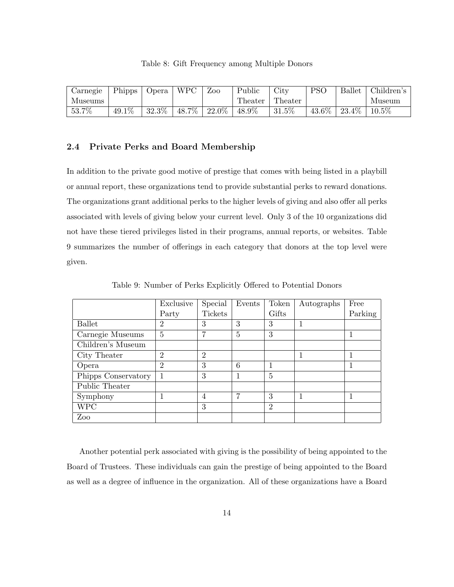|  | Table 8: Gift Frequency among Multiple Donors |  |  |
|--|-----------------------------------------------|--|--|
|  |                                               |  |  |

| Carnegie | Phipps | Opera | WPC   | Zoo      | Public   | City     | <b>PSO</b> | <b>Ballet</b> | Children's |
|----------|--------|-------|-------|----------|----------|----------|------------|---------------|------------|
| Museums  |        |       |       |          | Theater  | Theater  |            |               | Museum     |
| 53.7%    | 49.1%  | 32.3% | 48.7% | $22.0\%$ | $48.9\%$ | $31.5\%$ | 43.6%      | 23.4\%        | $10.5\%$   |

#### 2.4 Private Perks and Board Membership

In addition to the private good motive of prestige that comes with being listed in a playbill or annual report, these organizations tend to provide substantial perks to reward donations. The organizations grant additional perks to the higher levels of giving and also offer all perks associated with levels of giving below your current level. Only 3 of the 10 organizations did not have these tiered privileges listed in their programs, annual reports, or websites. Table 9 summarizes the number of offerings in each category that donors at the top level were given.

|                     | Exclusive      | Special        | Events         | Token          | Autographs | Free    |
|---------------------|----------------|----------------|----------------|----------------|------------|---------|
|                     | Party          | Tickets        |                | Gifts          |            | Parking |
| <b>Ballet</b>       | $\overline{2}$ | 3              | 3              | 3              | 1          |         |
| Carnegie Museums    | 5              | 7              | $\overline{5}$ | 3              |            |         |
| Children's Museum   |                |                |                |                |            |         |
| City Theater        | $\overline{2}$ | $\overline{2}$ |                |                |            |         |
| Opera               | $\overline{2}$ | 3              | 6              | 1              |            |         |
| Phipps Conservatory |                | 3              |                | 5              |            |         |
| Public Theater      |                |                |                |                |            |         |
| Symphony            |                | 4              | 7              | 3              | 1          |         |
| <b>WPC</b>          |                | 3              |                | $\overline{2}$ |            |         |
| Zoo                 |                |                |                |                |            |         |

Table 9: Number of Perks Explicitly Offered to Potential Donors

Another potential perk associated with giving is the possibility of being appointed to the Board of Trustees. These individuals can gain the prestige of being appointed to the Board as well as a degree of influence in the organization. All of these organizations have a Board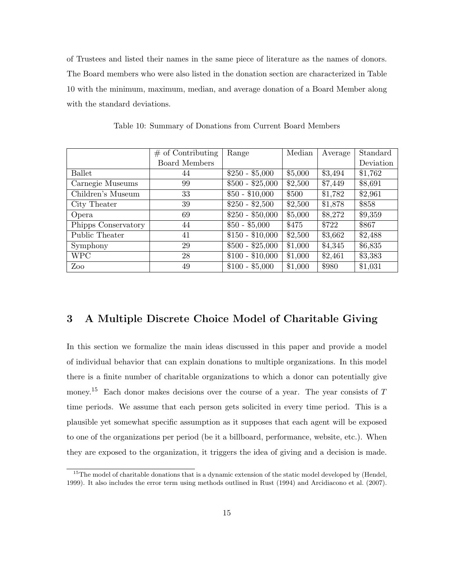of Trustees and listed their names in the same piece of literature as the names of donors. The Board members who were also listed in the donation section are characterized in Table 10 with the minimum, maximum, median, and average donation of a Board Member along with the standard deviations.

|                     | $\#$ of Contributing | Range            | Median  | Average | Standard  |
|---------------------|----------------------|------------------|---------|---------|-----------|
|                     | Board Members        |                  |         |         | Deviation |
| <b>Ballet</b>       | 44                   | $$250 - $5,000$  | \$5,000 | \$3,494 | \$1,762   |
| Carnegie Museums    | 99                   | $$500 - $25,000$ | \$2,500 | \$7,449 | \$8,691   |
| Children's Museum   | 33                   | $$50 - $10,000$  | \$500   | \$1,782 | \$2,961   |
| City Theater        | 39                   | $$250 - $2,500$  | \$2,500 | \$1,878 | \$858     |
| Opera               | 69                   | $$250 - $50,000$ | \$5,000 | \$8,272 | \$9,359   |
| Phipps Conservatory | 44                   | $$50 - $5,000$   | \$475   | \$722   | \$867     |
| Public Theater      | 41                   | $$150 - $10,000$ | \$2,500 | \$3,662 | \$2,488   |
| Symphony            | 29                   | $$500 - $25,000$ | \$1,000 | \$4,345 | \$6,835   |
| <b>WPC</b>          | 28                   | $$100 - $10,000$ | \$1,000 | \$2,461 | \$3,383   |
| Zoo                 | 49                   | $$100 - $5,000$  | \$1,000 | \$980   | \$1,031   |

Table 10: Summary of Donations from Current Board Members

# 3 A Multiple Discrete Choice Model of Charitable Giving

In this section we formalize the main ideas discussed in this paper and provide a model of individual behavior that can explain donations to multiple organizations. In this model there is a finite number of charitable organizations to which a donor can potentially give money.<sup>15</sup> Each donor makes decisions over the course of a year. The year consists of  $T$ time periods. We assume that each person gets solicited in every time period. This is a plausible yet somewhat specific assumption as it supposes that each agent will be exposed to one of the organizations per period (be it a billboard, performance, website, etc.). When they are exposed to the organization, it triggers the idea of giving and a decision is made.

<sup>&</sup>lt;sup>15</sup>The model of charitable donations that is a dynamic extension of the static model developed by (Hendel, 1999). It also includes the error term using methods outlined in Rust (1994) and Arcidiacono et al. (2007).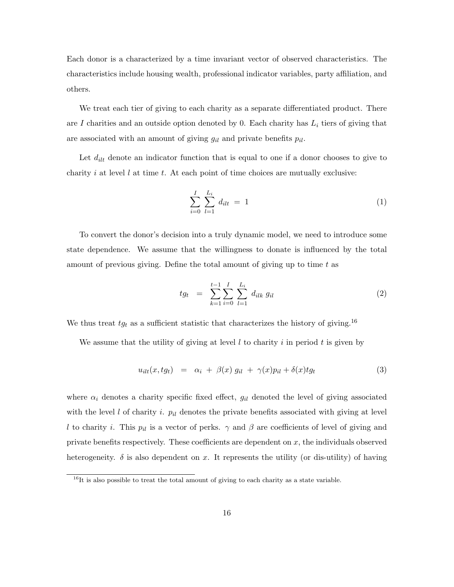Each donor is a characterized by a time invariant vector of observed characteristics. The characteristics include housing wealth, professional indicator variables, party affiliation, and others.

We treat each tier of giving to each charity as a separate differentiated product. There are I charities and an outside option denoted by 0. Each charity has  $L_i$  tiers of giving that are associated with an amount of giving  $g_{il}$  and private benefits  $p_{il}$ .

Let  $d_{ilt}$  denote an indicator function that is equal to one if a donor chooses to give to charity i at level  $l$  at time  $t$ . At each point of time choices are mutually exclusive:

$$
\sum_{i=0}^{I} \sum_{l=1}^{L_i} d_{ilt} = 1 \tag{1}
$$

To convert the donor's decision into a truly dynamic model, we need to introduce some state dependence. We assume that the willingness to donate is influenced by the total amount of previous giving. Define the total amount of giving up to time  $t$  as

$$
tg_t = \sum_{k=1}^{t-1} \sum_{i=0}^{I} \sum_{l=1}^{L_i} d_{ilk} g_{il}
$$
 (2)

We thus treat  $t_{gt}$  as a sufficient statistic that characterizes the history of giving.<sup>16</sup>

We assume that the utility of giving at level  $l$  to charity  $i$  in period  $t$  is given by

$$
u_{i l t}(x, t g_t) = \alpha_i + \beta(x) g_{i l} + \gamma(x) p_{i l} + \delta(x) t g_t \tag{3}
$$

where  $\alpha_i$  denotes a charity specific fixed effect,  $g_{il}$  denoted the level of giving associated with the level l of charity i.  $p_{il}$  denotes the private benefits associated with giving at level l to charity i. This  $p_{il}$  is a vector of perks.  $\gamma$  and  $\beta$  are coefficients of level of giving and private benefits respectively. These coefficients are dependent on  $x$ , the individuals observed heterogeneity.  $\delta$  is also dependent on x. It represents the utility (or dis-utility) of having

 $16$ It is also possible to treat the total amount of giving to each charity as a state variable.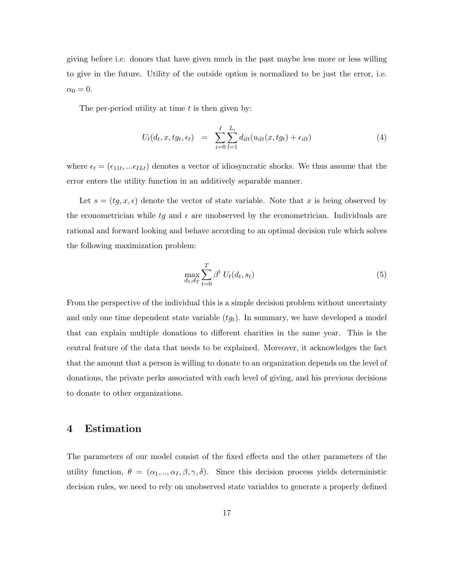giving before i.e. donors that have given much in the past maybe less more or less willing to give in the future. Utility of the outside option is normalized to be just the error, i.e.  $\alpha_0 = 0.$ 

The per-period utility at time  $t$  is then given by:

$$
U_t(d_t, x, tg_t, \epsilon_t) = \sum_{i=0}^{I} \sum_{l=1}^{L_i} d_{ilt}(u_{ilt}(x, tg_t) + \epsilon_{ilt})
$$
\n
$$
(4)
$$

where  $\epsilon_t = (\epsilon_{11t},...\epsilon_{ILt})$  denotes a vector of idiosyncratic shocks. We thus assume that the error enters the utility function in an additively separable manner.

Let  $s = (tg, x, \epsilon)$  denote the vector of state variable. Note that x is being observed by the econometrician while tg and  $\epsilon$  are unobserved by the econometrician. Individuals are rational and forward looking and behave according to an optimal decision rule which solves the following maximization problem:

$$
\max_{d_1, d_T} \sum_{t=0}^T \beta^t U_t(d_t, s_t) \tag{5}
$$

From the perspective of the individual this is a simple decision problem without uncertainty and only one time dependent state variable  $(tg_t)$ . In summary, we have developed a model that can explain multiple donations to different charities in the same year. This is the central feature of the data that needs to be explained. Moreover, it acknowledges the fact that the amount that a person is willing to donate to an organization depends on the level of donations, the private perks associated with each level of giving, and his previous decisions to donate to other organizations.

# 4 Estimation

The parameters of our model consist of the fixed effects and the other parameters of the utility function,  $\theta = (\alpha_1, ..., \alpha_I, \beta, \gamma, \delta)$ . Since this decision process yields deterministic decision rules, we need to rely on unobserved state variables to generate a properly defined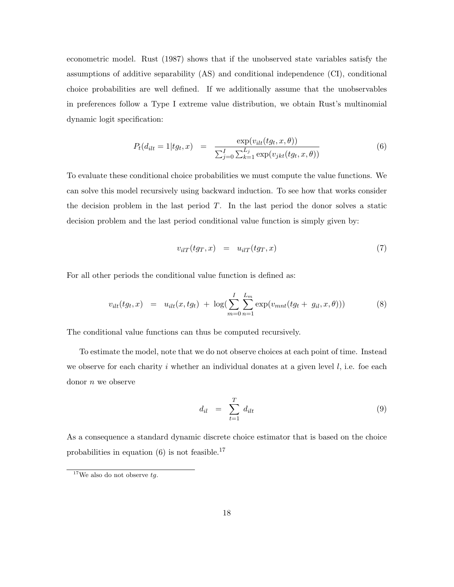econometric model. Rust (1987) shows that if the unobserved state variables satisfy the assumptions of additive separability (AS) and conditional independence (CI), conditional choice probabilities are well defined. If we additionally assume that the unobservables in preferences follow a Type I extreme value distribution, we obtain Rust's multinomial dynamic logit specification:

$$
P_t(d_{ilt} = 1 | ty_t, x) = \frac{\exp(v_{ilt}(ty_t, x, \theta))}{\sum_{j=0}^{I} \sum_{k=1}^{L_j} \exp(v_{jkt}(ty_t, x, \theta))}
$$
(6)

To evaluate these conditional choice probabilities we must compute the value functions. We can solve this model recursively using backward induction. To see how that works consider the decision problem in the last period  $T$ . In the last period the donor solves a static decision problem and the last period conditional value function is simply given by:

$$
v_{ilT}(tg_T, x) = u_{ilT}(tg_T, x) \tag{7}
$$

For all other periods the conditional value function is defined as:

$$
v_{ilt}(tg_t, x) = u_{ilt}(x, tg_t) + \log(\sum_{m=0}^{I} \sum_{n=1}^{L_m} \exp(v_{mnt}(tg_t + g_{il}, x, \theta)))
$$
 (8)

The conditional value functions can thus be computed recursively.

To estimate the model, note that we do not observe choices at each point of time. Instead we observe for each charity i whether an individual donates at a given level  $l$ , i.e. foe each donor n we observe

$$
d_{il} = \sum_{t=1}^{T} d_{ilt} \tag{9}
$$

As a consequence a standard dynamic discrete choice estimator that is based on the choice probabilities in equation  $(6)$  is not feasible.<sup>17</sup>

 $^{17}{\rm{We}}$  also do not observe  $tg.$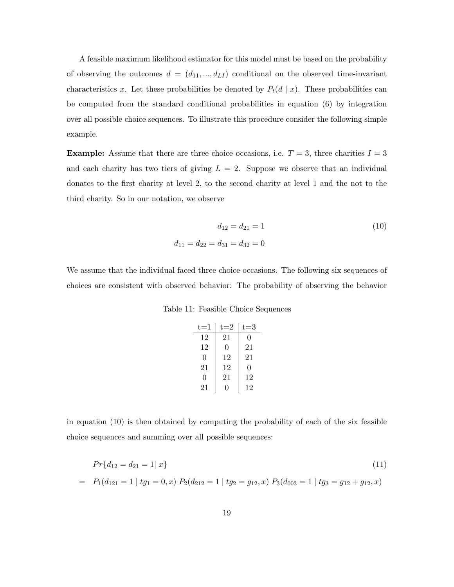A feasible maximum likelihood estimator for this model must be based on the probability of observing the outcomes  $d = (d_{11}, ..., d_{LI})$  conditional on the observed time-invariant characteristics x. Let these probabilities be denoted by  $P_t(d | x)$ . These probabilities can be computed from the standard conditional probabilities in equation (6) by integration over all possible choice sequences. To illustrate this procedure consider the following simple example.

**Example:** Assume that there are three choice occasions, i.e.  $T = 3$ , three charities  $I = 3$ and each charity has two tiers of giving  $L = 2$ . Suppose we observe that an individual donates to the first charity at level 2, to the second charity at level 1 and the not to the third charity. So in our notation, we observe

$$
d_{12} = d_{21} = 1
$$
\n
$$
d_{11} = d_{22} = d_{31} = d_{32} = 0
$$
\n(10)

We assume that the individual faced three choice occasions. The following six sequences of choices are consistent with observed behavior: The probability of observing the behavior

| $t = 1$ | $t = 2$ | t=3              |
|---------|---------|------------------|
| 12      | 21      | $\left( \right)$ |
| 12      | 0       | 21               |
| 0       | 12      | 21               |
| 21      | 12      | 0                |
| 0       | 21      | 12               |
| 21      | 0       | 12               |

in equation (10) is then obtained by computing the probability of each of the six feasible choice sequences and summing over all possible sequences:

$$
Pr\{d_{12} = d_{21} = 1 | x\}
$$
\n(11)

$$
= P_1(d_{121} = 1 | tg_1 = 0, x) P_2(d_{212} = 1 | tg_2 = g_{12}, x) P_3(d_{003} = 1 | tg_3 = g_{12} + g_{12}, x)
$$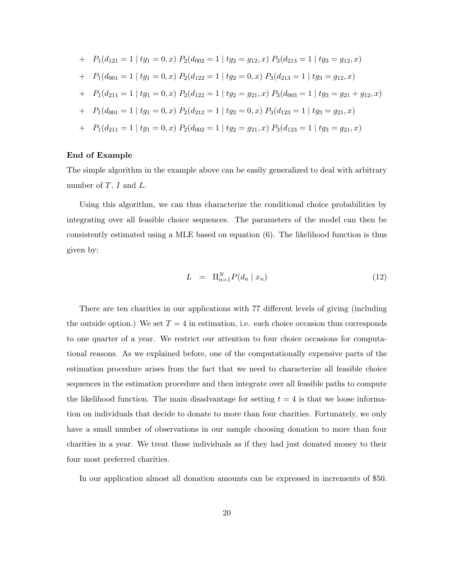+ 
$$
P_1(d_{121} = 1 | t g_1 = 0, x) P_2(d_{002} = 1 | t g_2 = g_{12}, x) P_3(d_{213} = 1 | t g_3 = g_{12}, x)
$$
  
\n+  $P_1(d_{001} = 1 | t g_1 = 0, x) P_2(d_{122} = 1 | t g_2 = 0, x) P_3(d_{213} = 1 | t g_3 = g_{12}, x)$   
\n+  $P_1(d_{211} = 1 | t g_1 = 0, x) P_2(d_{122} = 1 | t g_2 = g_{21}, x) P_3(d_{003} = 1 | t g_3 = g_{21} + g_{12}, x)$   
\n+  $P_1(d_{001} = 1 | t g_1 = 0, x) P_2(d_{212} = 1 | t g_2 = 0, x) P_3(d_{123} = 1 | t g_3 = g_{21}, x)$   
\n+  $P_1(d_{211} = 1 | t g_1 = 0, x) P_2(d_{002} = 1 | t g_2 = g_{21}, x) P_3(d_{123} = 1 | t g_3 = g_{21}, x)$ 

#### End of Example

The simple algorithm in the example above can be easily generalized to deal with arbitrary number of  $T$ ,  $I$  and  $L$ .

Using this algorithm, we can thus characterize the conditional choice probabilities by integrating over all feasible choice sequences. The parameters of the model can then be consistently estimated using a MLE based on equation (6). The likelihood function is thus given by:

$$
L = \Pi_{n=1}^{N} P(d_n \mid x_n) \tag{12}
$$

There are ten charities in our applications with 77 different levels of giving (including the outside option.) We set  $T = 4$  in estimation, i.e. each choice occasion thus corresponds to one quarter of a year. We restrict our attention to four choice occasions for computational reasons. As we explained before, one of the computationally expensive parts of the estimation procedure arises from the fact that we need to characterize all feasible choice sequences in the estimation procedure and then integrate over all feasible paths to compute the likelihood function. The main disadvantage for setting  $t = 4$  is that we loose information on individuals that decide to donate to more than four charities. Fortunately, we only have a small number of observations in our sample choosing donation to more than four charities in a year. We treat those individuals as if they had just donated money to their four most preferred charities.

In our application almost all donation amounts can be expressed in increments of \$50.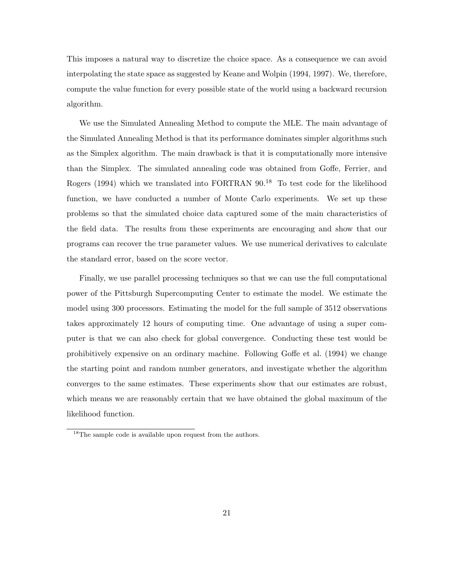This imposes a natural way to discretize the choice space. As a consequence we can avoid interpolating the state space as suggested by Keane and Wolpin (1994, 1997). We, therefore, compute the value function for every possible state of the world using a backward recursion algorithm.

We use the Simulated Annealing Method to compute the MLE. The main advantage of the Simulated Annealing Method is that its performance dominates simpler algorithms such as the Simplex algorithm. The main drawback is that it is computationally more intensive than the Simplex. The simulated annealing code was obtained from Goffe, Ferrier, and Rogers (1994) which we translated into FORTRAN  $90<sup>18</sup>$  To test code for the likelihood function, we have conducted a number of Monte Carlo experiments. We set up these problems so that the simulated choice data captured some of the main characteristics of the field data. The results from these experiments are encouraging and show that our programs can recover the true parameter values. We use numerical derivatives to calculate the standard error, based on the score vector.

Finally, we use parallel processing techniques so that we can use the full computational power of the Pittsburgh Supercomputing Center to estimate the model. We estimate the model using 300 processors. Estimating the model for the full sample of 3512 observations takes approximately 12 hours of computing time. One advantage of using a super computer is that we can also check for global convergence. Conducting these test would be prohibitively expensive on an ordinary machine. Following Goffe et al. (1994) we change the starting point and random number generators, and investigate whether the algorithm converges to the same estimates. These experiments show that our estimates are robust, which means we are reasonably certain that we have obtained the global maximum of the likelihood function.

<sup>&</sup>lt;sup>18</sup>The sample code is available upon request from the authors.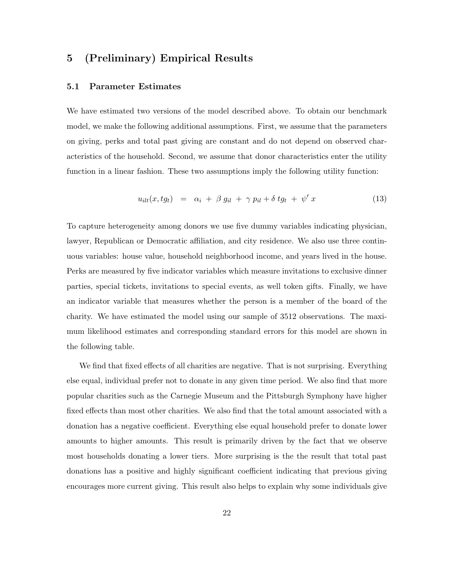# 5 (Preliminary) Empirical Results

### 5.1 Parameter Estimates

We have estimated two versions of the model described above. To obtain our benchmark model, we make the following additional assumptions. First, we assume that the parameters on giving, perks and total past giving are constant and do not depend on observed characteristics of the household. Second, we assume that donor characteristics enter the utility function in a linear fashion. These two assumptions imply the following utility function:

$$
u_{ilt}(x, tg_t) = \alpha_i + \beta g_{il} + \gamma p_{il} + \delta t g_t + \psi' x \qquad (13)
$$

To capture heterogeneity among donors we use five dummy variables indicating physician, lawyer, Republican or Democratic affiliation, and city residence. We also use three continuous variables: house value, household neighborhood income, and years lived in the house. Perks are measured by five indicator variables which measure invitations to exclusive dinner parties, special tickets, invitations to special events, as well token gifts. Finally, we have an indicator variable that measures whether the person is a member of the board of the charity. We have estimated the model using our sample of 3512 observations. The maximum likelihood estimates and corresponding standard errors for this model are shown in the following table.

We find that fixed effects of all charities are negative. That is not surprising. Everything else equal, individual prefer not to donate in any given time period. We also find that more popular charities such as the Carnegie Museum and the Pittsburgh Symphony have higher fixed effects than most other charities. We also find that the total amount associated with a donation has a negative coefficient. Everything else equal household prefer to donate lower amounts to higher amounts. This result is primarily driven by the fact that we observe most households donating a lower tiers. More surprising is the the result that total past donations has a positive and highly significant coefficient indicating that previous giving encourages more current giving. This result also helps to explain why some individuals give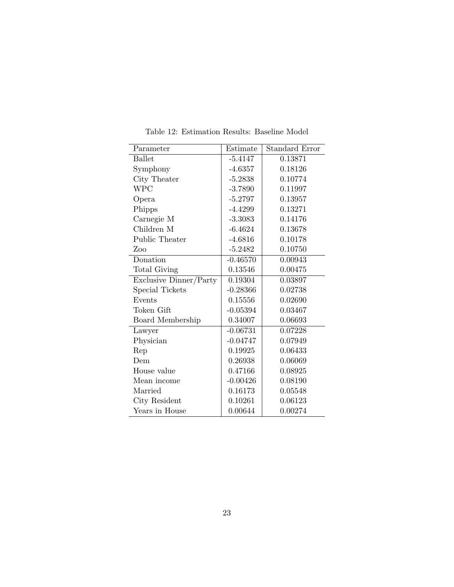| Parameter              | Estimate   | <b>Standard Error</b> |
|------------------------|------------|-----------------------|
| <b>Ballet</b>          | $-5.4147$  | 0.13871               |
| Symphony               | $-4.6357$  | 0.18126               |
| City Theater           | $-5.2838$  | 0.10774               |
| <b>WPC</b>             | $-3.7890$  | 0.11997               |
| Opera                  | $-5.2797$  | 0.13957               |
| Phipps                 | $-4.4299$  | 0.13271               |
| Carnegie M             | $-3.3083$  | 0.14176               |
| Children M             | $-6.4624$  | 0.13678               |
| Public Theater         | $-4.6816$  | 0.10178               |
| Zoo                    | $-5.2482$  | 0.10750               |
| Donation               | $-0.46570$ | 0.00943               |
| Total Giving           | 0.13546    | 0.00475               |
| Exclusive Dinner/Party | 0.19304    | 0.03897               |
| Special Tickets        | $-0.28366$ | 0.02738               |
| Events                 | 0.15556    | 0.02690               |
| Token Gift             | $-0.05394$ | 0.03467               |
| Board Membership       | 0.34007    | 0.06693               |
| Lawyer                 | $-0.06731$ | 0.07228               |
| Physician              | $-0.04747$ | 0.07949               |
| Rep                    | 0.19925    | 0.06433               |
| Dem                    | 0.26938    | 0.06069               |
| House value            | 0.47166    | 0.08925               |
| Mean income            | $-0.00426$ | 0.08190               |
| Married                | 0.16173    | 0.05548               |
| City Resident          | 0.10261    | 0.06123               |
| Years in House         | 0.00644    | 0.00274               |

Table 12: Estimation Results: Baseline Model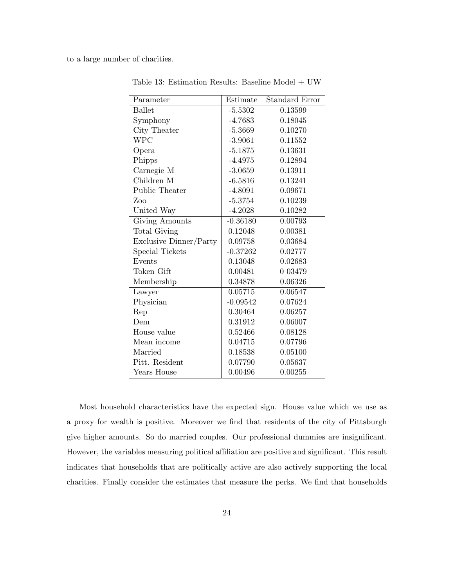to a large number of charities.

Í. l.

| Parameter              | Estimate   | Standard Error |
|------------------------|------------|----------------|
| <b>Ballet</b>          | $-5.5302$  | 0.13599        |
| Symphony               | $-4.7683$  | 0.18045        |
| City Theater           | $-5.3669$  | 0.10270        |
| <b>WPC</b>             | $-3.9061$  | 0.11552        |
| Opera                  | $-5.1875$  | 0.13631        |
| Phipps                 | $-4.4975$  | 0.12894        |
| Carnegie M             | $-3.0659$  | 0.13911        |
| Children M             | $-6.5816$  | 0.13241        |
| Public Theater         | $-4.8091$  | 0.09671        |
| Zoo                    | $-5.3754$  | 0.10239        |
| United Way             | $-4.2028$  | 0.10282        |
| Giving Amounts         | $-0.36180$ | 0.00793        |
| <b>Total Giving</b>    | 0.12048    | 0.00381        |
| Exclusive Dinner/Party | 0.09758    | 0.03684        |
| Special Tickets        | $-0.37262$ | 0.02777        |
| Events                 | 0.13048    | 0.02683        |
| Token Gift             | 0.00481    | 0 0 3 4 7 9    |
| Membership             | 0.34878    | 0.06326        |
| Lawyer                 | 0.05715    | 0.06547        |
| Physician              | $-0.09542$ | 0.07624        |
| Rep                    | 0.30464    | 0.06257        |
| Dem                    | 0.31912    | 0.06007        |
| House value            | 0.52466    | 0.08128        |
| Mean income            | 0.04715    | 0.07796        |
| Married                | 0.18538    | 0.05100        |
| Pitt. Resident         | 0.07790    | 0.05637        |
| Years House            | 0.00496    | 0.00255        |

Table 13: Estimation Results: Baseline Model + UW

Most household characteristics have the expected sign. House value which we use as a proxy for wealth is positive. Moreover we find that residents of the city of Pittsburgh give higher amounts. So do married couples. Our professional dummies are insignificant. However, the variables measuring political affiliation are positive and significant. This result indicates that households that are politically active are also actively supporting the local charities. Finally consider the estimates that measure the perks. We find that households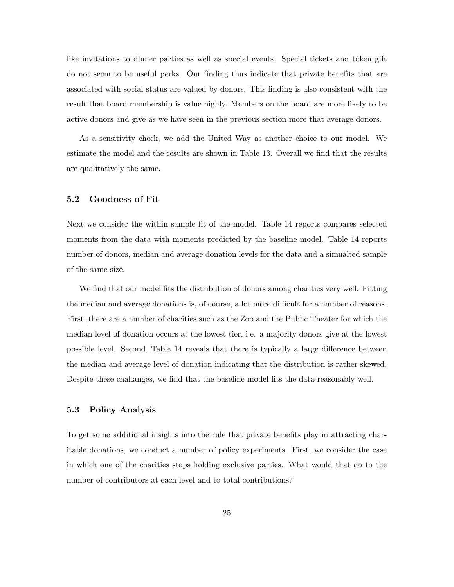like invitations to dinner parties as well as special events. Special tickets and token gift do not seem to be useful perks. Our finding thus indicate that private benefits that are associated with social status are valued by donors. This finding is also consistent with the result that board membership is value highly. Members on the board are more likely to be active donors and give as we have seen in the previous section more that average donors.

As a sensitivity check, we add the United Way as another choice to our model. We estimate the model and the results are shown in Table 13. Overall we find that the results are qualitatively the same.

#### 5.2 Goodness of Fit

Next we consider the within sample fit of the model. Table 14 reports compares selected moments from the data with moments predicted by the baseline model. Table 14 reports number of donors, median and average donation levels for the data and a simualted sample of the same size.

We find that our model fits the distribution of donors among charities very well. Fitting the median and average donations is, of course, a lot more difficult for a number of reasons. First, there are a number of charities such as the Zoo and the Public Theater for which the median level of donation occurs at the lowest tier, i.e. a majority donors give at the lowest possible level. Second, Table 14 reveals that there is typically a large difference between the median and average level of donation indicating that the distribution is rather skewed. Despite these challanges, we find that the baseline model fits the data reasonably well.

#### 5.3 Policy Analysis

To get some additional insights into the rule that private benefits play in attracting charitable donations, we conduct a number of policy experiments. First, we consider the case in which one of the charities stops holding exclusive parties. What would that do to the number of contributors at each level and to total contributions?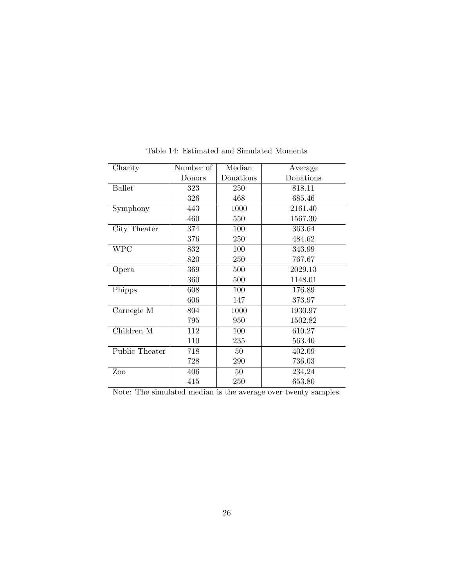| Charity                                        | Number of | Median    | Average   |  |
|------------------------------------------------|-----------|-----------|-----------|--|
|                                                | Donors    | Donations | Donations |  |
| <b>Ballet</b>                                  | 323       | 250       | 818.11    |  |
|                                                | 326       | 468       | 685.46    |  |
| Symphony                                       | 443       | 1000      | 2161.40   |  |
|                                                | 460       | 550       | 1567.30   |  |
| City Theater                                   | 374       | 100       | 363.64    |  |
|                                                | 376       | 250       | 484.62    |  |
| <b>WPC</b>                                     | 832       | 100       | 343.99    |  |
|                                                | 820       | 250       | 767.67    |  |
| Opera                                          | 369       | 500       | 2029.13   |  |
|                                                | 360       | 500       | 1148.01   |  |
| Phipps                                         | 608       | 100       | 176.89    |  |
|                                                | 606       | 147       | 373.97    |  |
| Carnegie M                                     | 804       | 1000      | 1930.97   |  |
|                                                | 795       | 950       | 1502.82   |  |
| Children M                                     | 112       | 100       | 610.27    |  |
|                                                | 110       | 235       | 563.40    |  |
| Public Theater                                 | 718       | 50        | 402.09    |  |
|                                                | 728       | 290       | 736.03    |  |
| Zoo                                            | 406       | 50        | 234.24    |  |
|                                                | 415       | 250       | 653.80    |  |
| $\cdots$<br>$\sim$<br>$\mathbf{L}$<br>ъ.<br>п. |           |           |           |  |

Table 14: Estimated and Simulated Moments

Note: The simulated median is the average over twenty samples.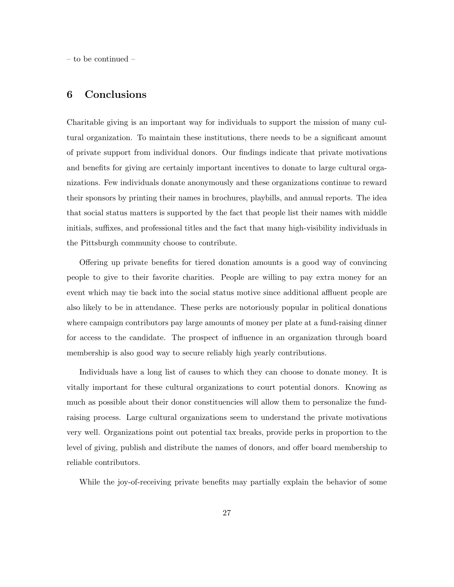– to be continued –

# 6 Conclusions

Charitable giving is an important way for individuals to support the mission of many cultural organization. To maintain these institutions, there needs to be a significant amount of private support from individual donors. Our findings indicate that private motivations and benefits for giving are certainly important incentives to donate to large cultural organizations. Few individuals donate anonymously and these organizations continue to reward their sponsors by printing their names in brochures, playbills, and annual reports. The idea that social status matters is supported by the fact that people list their names with middle initials, suffixes, and professional titles and the fact that many high-visibility individuals in the Pittsburgh community choose to contribute.

Offering up private benefits for tiered donation amounts is a good way of convincing people to give to their favorite charities. People are willing to pay extra money for an event which may tie back into the social status motive since additional affluent people are also likely to be in attendance. These perks are notoriously popular in political donations where campaign contributors pay large amounts of money per plate at a fund-raising dinner for access to the candidate. The prospect of influence in an organization through board membership is also good way to secure reliably high yearly contributions.

Individuals have a long list of causes to which they can choose to donate money. It is vitally important for these cultural organizations to court potential donors. Knowing as much as possible about their donor constituencies will allow them to personalize the fundraising process. Large cultural organizations seem to understand the private motivations very well. Organizations point out potential tax breaks, provide perks in proportion to the level of giving, publish and distribute the names of donors, and offer board membership to reliable contributors.

While the joy-of-receiving private benefits may partially explain the behavior of some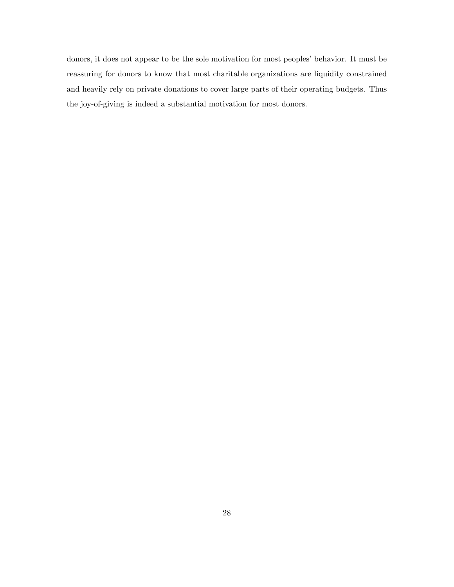donors, it does not appear to be the sole motivation for most peoples' behavior. It must be reassuring for donors to know that most charitable organizations are liquidity constrained and heavily rely on private donations to cover large parts of their operating budgets. Thus the joy-of-giving is indeed a substantial motivation for most donors.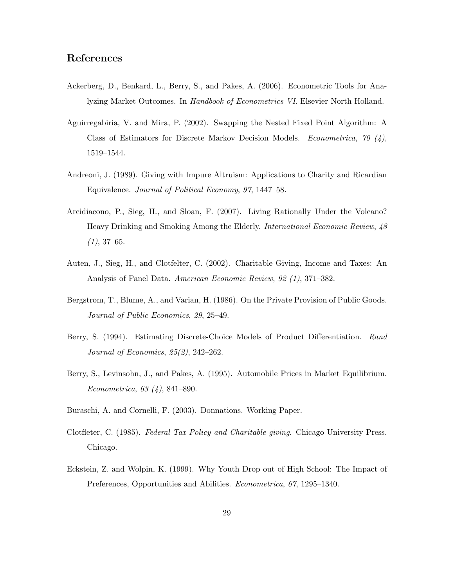# References

- Ackerberg, D., Benkard, L., Berry, S., and Pakes, A. (2006). Econometric Tools for Analyzing Market Outcomes. In Handbook of Econometrics VI. Elsevier North Holland.
- Aguirregabiria, V. and Mira, P. (2002). Swapping the Nested Fixed Point Algorithm: A Class of Estimators for Discrete Markov Decision Models. *Econometrica*, 70  $(4)$ , 1519–1544.
- Andreoni, J. (1989). Giving with Impure Altruism: Applications to Charity and Ricardian Equivalence. Journal of Political Economy, 97, 1447–58.
- Arcidiacono, P., Sieg, H., and Sloan, F. (2007). Living Rationally Under the Volcano? Heavy Drinking and Smoking Among the Elderly. International Economic Review, 48  $(1), 37-65.$
- Auten, J., Sieg, H., and Clotfelter, C. (2002). Charitable Giving, Income and Taxes: An Analysis of Panel Data. American Economic Review, 92 (1), 371–382.
- Bergstrom, T., Blume, A., and Varian, H. (1986). On the Private Provision of Public Goods. Journal of Public Economics, 29, 25–49.
- Berry, S. (1994). Estimating Discrete-Choice Models of Product Differentiation. Rand Journal of Economics, 25(2), 242–262.
- Berry, S., Levinsohn, J., and Pakes, A. (1995). Automobile Prices in Market Equilibrium. Econometrica, 63 (4), 841–890.
- Buraschi, A. and Cornelli, F. (2003). Donnations. Working Paper.
- Clotfleter, C. (1985). Federal Tax Policy and Charitable giving. Chicago University Press. Chicago.
- Eckstein, Z. and Wolpin, K. (1999). Why Youth Drop out of High School: The Impact of Preferences, Opportunities and Abilities. Econometrica, 67, 1295–1340.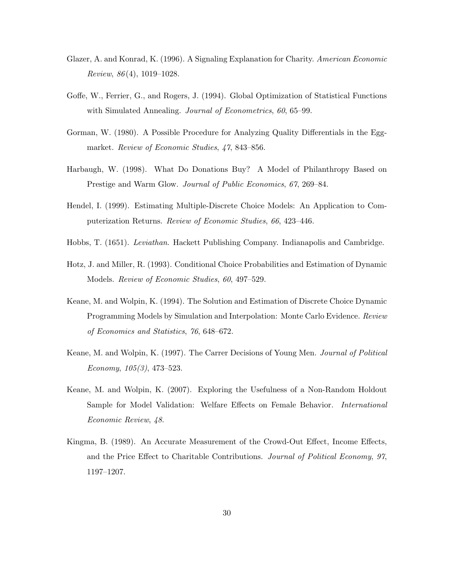- Glazer, A. and Konrad, K. (1996). A Signaling Explanation for Charity. American Economic Review,  $86(4)$ , 1019–1028.
- Goffe, W., Ferrier, G., and Rogers, J. (1994). Global Optimization of Statistical Functions with Simulated Annealing. *Journal of Econometrics*, 60, 65–99.
- Gorman, W. (1980). A Possible Procedure for Analyzing Quality Differentials in the Eggmarket. Review of Economic Studies, 47, 843–856.
- Harbaugh, W. (1998). What Do Donations Buy? A Model of Philanthropy Based on Prestige and Warm Glow. Journal of Public Economics, 67, 269–84.
- Hendel, I. (1999). Estimating Multiple-Discrete Choice Models: An Application to Computerization Returns. Review of Economic Studies, 66, 423–446.
- Hobbs, T. (1651). Leviathan. Hackett Publishing Company. Indianapolis and Cambridge.
- Hotz, J. and Miller, R. (1993). Conditional Choice Probabilities and Estimation of Dynamic Models. Review of Economic Studies, 60, 497–529.
- Keane, M. and Wolpin, K. (1994). The Solution and Estimation of Discrete Choice Dynamic Programming Models by Simulation and Interpolation: Monte Carlo Evidence. Review of Economics and Statistics, 76, 648–672.
- Keane, M. and Wolpin, K. (1997). The Carrer Decisions of Young Men. Journal of Political Economy, 105(3), 473–523.
- Keane, M. and Wolpin, K. (2007). Exploring the Usefulness of a Non-Random Holdout Sample for Model Validation: Welfare Effects on Female Behavior. International Economic Review, 48.
- Kingma, B. (1989). An Accurate Measurement of the Crowd-Out Effect, Income Effects, and the Price Effect to Charitable Contributions. Journal of Political Economy, 97, 1197–1207.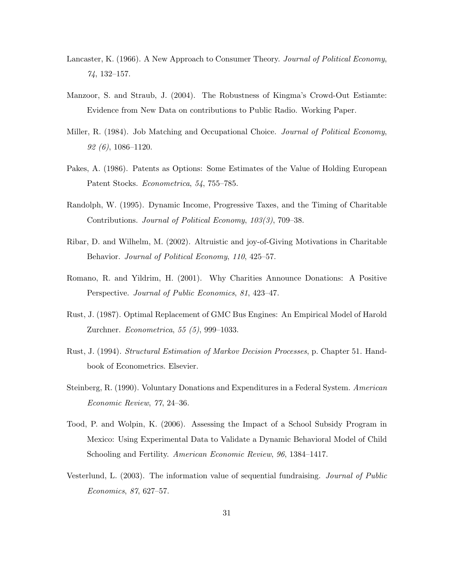- Lancaster, K. (1966). A New Approach to Consumer Theory. Journal of Political Economy, 74, 132–157.
- Manzoor, S. and Straub, J. (2004). The Robustness of Kingma's Crowd-Out Estiamte: Evidence from New Data on contributions to Public Radio. Working Paper.
- Miller, R. (1984). Job Matching and Occupational Choice. *Journal of Political Economy*, 92 (6), 1086–1120.
- Pakes, A. (1986). Patents as Options: Some Estimates of the Value of Holding European Patent Stocks. Econometrica, 54, 755–785.
- Randolph, W. (1995). Dynamic Income, Progressive Taxes, and the Timing of Charitable Contributions. Journal of Political Economy, 103(3), 709–38.
- Ribar, D. and Wilhelm, M. (2002). Altruistic and joy-of-Giving Motivations in Charitable Behavior. Journal of Political Economy, 110, 425–57.
- Romano, R. and Yildrim, H. (2001). Why Charities Announce Donations: A Positive Perspective. Journal of Public Economics, 81, 423–47.
- Rust, J. (1987). Optimal Replacement of GMC Bus Engines: An Empirical Model of Harold Zurchner. Econometrica, 55 (5), 999–1033.
- Rust, J. (1994). Structural Estimation of Markov Decision Processes, p. Chapter 51. Handbook of Econometrics. Elsevier.
- Steinberg, R. (1990). Voluntary Donations and Expenditures in a Federal System. American Economic Review, 77, 24–36.
- Tood, P. and Wolpin, K. (2006). Assessing the Impact of a School Subsidy Program in Mexico: Using Experimental Data to Validate a Dynamic Behavioral Model of Child Schooling and Fertility. American Economic Review, 96, 1384–1417.
- Vesterlund, L. (2003). The information value of sequential fundraising. Journal of Public Economics, 87, 627–57.